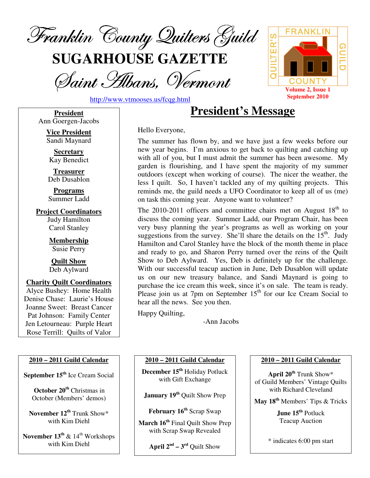

**SUGARHOUSE GAZETTE**

Saint Albans, Vermont



http://www.vtmooses.us/fcqg.html

**President** Ann Goergen-Jacobs

> **Vice President** Sandi Maynard

**Secretary** Kay Benedict

**Treasurer** Deb Dusablon

**Programs** Summer Ladd

**Project Coordinators** Judy Hamilton Carol Stanley

> **Membership** Susie Perry

**Quilt Show** Deb Aylward

**Charity Quilt Coordinators** Alyce Bushey: Home Health Denise Chase: Laurie's House Joanne Sweet: Breast Cancer Pat Johnson: Family Center Jen Letourneau: Purple Heart Rose Terrill: Quilts of Valor

#### **2010 – 2011 Guild Calendar**

**September 15 th** Ice Cream Social

**October 20 th** Christmas in October (Members' demos)

**November 12 th** Trunk Show\* with Kim Diehl

**November 13 th** & 14 th Workshops with Kim Diehl

**President's Message**

Hello Everyone,

The summer has flown by, and we have just a few weeks before our new year begins. I'm anxious to get back to quilting and catching up with all of you, but I must admit the summer has been awesome. My garden is flourishing, and I have spent the majority of my summer outdoors (except when working of course). The nicer the weather, the less I quilt. So, I haven't tackled any of my quilting projects. This reminds me, the guild needs a UFO Coordinator to keep all of us (me) on task this coming year. Anyone want to volunteer?

The  $2010$ -2011 officers and committee chairs met on August  $18<sup>th</sup>$  to discuss the coming year. Summer Ladd, our Program Chair, has been very busy planning the year's programs as well as working on your suggestions from the survey. She'll share the details on the 15<sup>th</sup>. Judy Hamilton and Carol Stanley have the block of the month theme in place and ready to go, and Sharon Perry turned over the reins of the Quilt Show to Deb Aylward. Yes, Deb is definitely up for the challenge. With our successful teacup auction in June, Deb Dusablon will update us on our new treasury balance, and Sandi Maynard is going to purchase the ice cream this week, since it's on sale. The team is ready. Please join us at 7pm on September 15<sup>th</sup> for our Ice Cream Social to hear all the news. See you then.

Happy Quilting,

-Ann Jacobs

### **2010 – 2011 Guild Calendar**

**December 15 th** Holiday Potluck with Gift Exchange

**January 19 th** Quilt Show Prep

**February 16 th** Scrap Swap

**March 16 th** Final Quilt Show Prep with Scrap Swap Revealed

**April**  $2^{nd} - 3^{rd}$  Quilt Show

#### **2010 – 2011 Guild Calendar**

**April 20 th** Trunk Show\* of Guild Members' Vintage Quilts with Richard Cleveland

**May 18 th** Members' Tips & Tricks

**June 15 th** Potluck Teacup Auction

\* indicates 6:00 pm start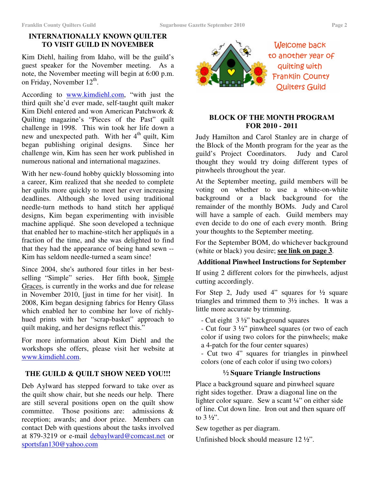# **INTERNATIONALLY KNOWN QUILTER TO VISIT GUILD IN NOVEMBER**

Kim Diehl, hailing from Idaho, will be the guild's guest speaker for the November meeting. As a note, the November meeting will begin at 6:00 p.m. on Friday, November 12<sup>th</sup>.

According to www.kimdiehl.com, "with just the third quilt she'd ever made, self-taught quilt maker Kim Diehl entered and won American Patchwork & Quilting magazine's "Pieces of the Past" quilt challenge in 1998. This win took her life down a new and unexpected path. With her 4<sup>th</sup> quilt, Kim began publishing original designs. Since her challenge win, Kim has seen her work published in numerous national and international magazines.

With her new-found hobby quickly blossoming into a career, Kim realized that she needed to complete her quilts more quickly to meet her ever increasing deadlines. Although she loved using traditional needle-turn methods to hand stitch her appliqué designs, Kim began experimenting with invisible machine appliqué. She soon developed a technique that enabled her to machine-stitch her appliqués in a fraction of the time, and she was delighted to find that they had the appearance of being hand sewn -- Kim has seldom needle-turned a seam since!

Since 2004, she's authored four titles in her bestselling "Simple" series. Her fifth book, Simple Graces, is currently in the works and due for release in November 2010, [just in time for her visit]. In 2008, Kim began designing fabrics for Henry Glass which enabled her to combine her love of richlyhued prints with her "scrap-basket" approach to quilt making, and her designs reflect this."

For more information about Kim Diehl and the workshops she offers, please visit her website at www.kimdiehl.com.

# **THE GUILD & QUILT SHOW NEED YOU!!!**

Deb Aylward has stepped forward to take over as the quilt show chair, but she needs our help. There are still several positions open on the quilt show committee. Those positions are: admissions & reception; awards; and door prize. Members can contact Deb with questions about the tasks involved at 879-3219 or e-mail debaylward@comcast.net or sportsfan130@yahoo.com



# **BLOCK OF THE MONTH PROGRAM FOR 2010 - 2011**

Judy Hamilton and Carol Stanley are in charge of the Block of the Month program for the year as the guild's Project Coordinators. Judy and Carol thought they would try doing different types of pinwheels throughout the year.

At the September meeting, guild members will be voting on whether to use a white-on-white background or a black background for the remainder of the monthly BOMs. Judy and Carol will have a sample of each. Guild members may even decide to do one of each every month. Bring your thoughts to the September meeting.

For the September BOM, do whichever background (white or black) you desire; **see link on page 3**.

# **Additional Pinwheel Instructions for September**

If using 2 different colors for the pinwheels, adjust cutting accordingly.

For Step 2, Judy used 4" squares for ½ square triangles and trimmed them to 3½ inches. It was a little more accurate by trimming.

- Cut eight 3 ½" background squares

- Cut four 3 ½" pinwheel squares (or two of each color if using two colors for the pinwheels; make a 4-patch for the four center squares)

- Cut two 4" squares for triangles in pinwheel colors (one of each color if using two colors)

# **½ Square Triangle Instructions**

Place a background square and pinwheel square right sides together. Draw a diagonal line on the lighter color square. Sew a scant ¼" on either side of line. Cut down line. Iron out and then square off to  $3\frac{1}{2}$ .

Sew together as per diagram.

Unfinished block should measure 12 ½".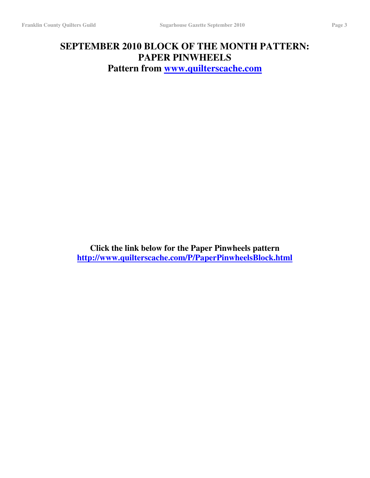# **SEPTEMBER 2010 BLOCK OF THE MONTH PATTERN: PAPER PINWHEELS Pattern from www.quilterscache.com**

**Click the link below for the Paper Pinwheels pattern http://www.quilterscache.com/P/PaperPinwheelsBlock.html**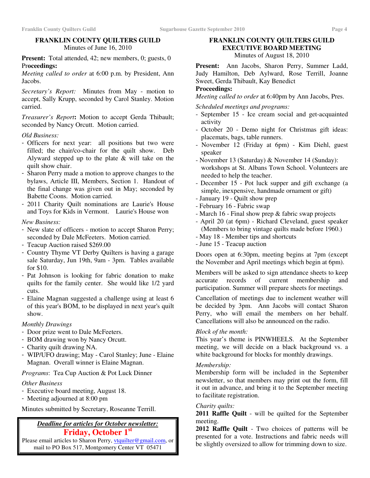#### **FRANKLIN COUNTY QUILTERS GUILD** Minutes of June 16, 2010

**Present:** Total attended, 42; new members, 0; guests, 0 Pr**oceedings:**

*Meeting called to order* at 6:00 p.m. by President, Ann Jacobs.

*Secretary's Report:* Minutes from May - motion to accept, Sally Krupp, seconded by Carol Stanley. Motion carried.

*Treasurer's Report***:** Motion to accept Gerda Thibault; seconded by Nancy Orcutt. Motion carried.

#### *Old Business:*

- Officers for next year: all positions but two were filled; the chair/co-chair for the quilt show. Deb Alyward stepped up to the plate  $&$  will take on the quilt show chair.
- Sharon Perry made a motion to approve changes to the bylaws, Article III, Members, Section 1. Handout of the final change was given out in May; seconded by Babette Coons. Motion carried.
- 2011 Charity Quilt nominations are Laurie's House and Toys for Kids in Vermont. Laurie's House won

#### *New Business:*

- New slate of officers motion to accept Sharon Perry; seconded by Dale McFeeters. Motion carried.
- Teacup Auction raised \$269.00
- Country Thyme VT Derby Quilters is having a garage sale Saturday, Jun 19th, 9am - 3pm. Tables available for \$10.
- Pat Johnson is looking for fabric donation to make quilts for the family center. She would like 1/2 yard cuts.
- Elaine Magnan suggested a challenge using at least 6 of this year's BOM, to be displayed in next year's quilt show.

#### *Monthly Drawings*

- Door prize went to Dale McFeeters.
- BOM drawing won by Nancy Orcutt.
- Charity quilt drawing NA.
- WIP/UFO drawing; May Carol Stanley; June Elaine Magnan. Overall winner is Elaine Magnan.

#### *Programs*: Tea Cup Auction & Pot Luck Dinner

#### *Other Business*

- Executive board meeting, August 18.
- Meeting adjourned at 8:00 pm

Minutes submitted by Secretary, Roseanne Terrill.

# *Deadline for articles for October newsletter:* **Friday, October 1 st**

Please email articles to Sharon Perry, vtquilter@gmail.com, or mail to PO Box 517, Montgomery Center VT 05471

#### **FRANKLIN COUNTY QUILTERS GUILD EXECUTIVE BOARD MEETING**

Minutes of August 18, 2010

**Present:** Ann Jacobs, Sharon Perry, Summer Ladd, Judy Hamilton, Deb Aylward, Rose Terrill, Joanne Sweet, Gerda Thibault, Kay Benedict

#### **Proceedings:**

*Meeting called to order* at 6:40pm by Ann Jacobs, Pres.

*Scheduled meetings and programs:*

- September 15 Ice cream social and get-acquainted activity
- October 20 Demo night for Christmas gift ideas: placemats, bags, table runners.
- November 12 (Friday at 6pm) Kim Diehl, guest speaker
- November 13 (Saturday) & November 14 (Sunday): workshops at St. Albans Town School. Volunteers are needed to help the teacher.
- December 15 Pot luck supper and gift exchange (a simple, inexpensive, handmade ornament or gift)
- January 19 Quilt show prep
- February 16 Fabric swap
- March 16 Final show prep & fabric swap projects
- April 20 (at 6pm) Richard Cleveland, guest speaker (Members to bring vintage quilts made before 1960.)
- May 18 Member tips and shortcuts
- June 15 Teacup auction

Doors open at 6:30pm, meeting begins at 7pm (except the November and April meetings which begin at 6pm).

Members will be asked to sign attendance sheets to keep accurate records of current membership and participation. Summer will prepare sheets for meetings.

Cancellation of meetings due to inclement weather will be decided by 3pm. Ann Jacobs will contact Sharon Perry, who will email the members on her behalf. Cancellations will also be announced on the radio.

#### *Block of the month:*

This year's theme is PINWHEELS. At the September meeting, we will decide on a black background vs. a white background for blocks for monthly drawings.

#### *Membership:*

Membership form will be included in the September newsletter, so that members may print out the form, fill it out in advance, and bring it to the September meeting to facilitate registration.

#### *Charity quilts:*

**2011 Raffle Quilt** - will be quilted for the September meeting.

**2012 Raffle Quilt** - Two choices of patterns will be presented for a vote. Instructions and fabric needs will be slightly oversized to allow for trimming down to size.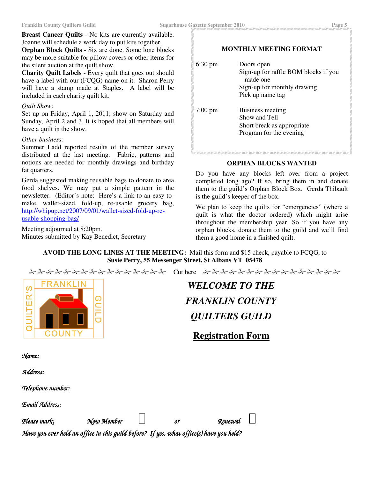**Breast Cancer Quilts** - No kits are currently available. Joanne will schedule a work day to put kits together.

**Orphan Block Quilts** - Six are done. Some lone blocks may be more suitable for pillow covers or other items for the silent auction at the quilt show.

**Charity Quilt Labels** - Every quilt that goes out should have a label with our (FCQG) name on it. Sharon Perry will have a stamp made at Staples. A label will be included in each charity quilt kit.

#### *Quilt Show:*

Set up on Friday, April 1, 2011; show on Saturday and Sunday, April 2 and 3. It is hoped that all members will have a quilt in the show.

#### *Other business:*

Summer Ladd reported results of the member survey distributed at the last meeting. Fabric, patterns and notions are needed for monthly drawings and birthday fat quarters.

Gerda suggested making reusable bags to donate to area food shelves. We may put a simple pattern in the newsletter. (Editor's note: Here's a link to an easy-tomake, wallet-sized, fold-up, re-usable grocery bag, http://whipup.net/2007/09/01/wallet-sized-fold-up-reusable-shopping-bag/

Meeting adjourned at 8:20pm. Minutes submitted by Kay Benedict, Secretary

#### **MONTHLY MEETING FORMAT**

| $6:30 \text{ pm}$ | Doors open                           |
|-------------------|--------------------------------------|
|                   | Sign-up for raffle BOM blocks if you |
|                   | made one                             |
|                   | Sign-up for monthly drawing          |
|                   | Pick up name tag                     |
| $7:00 \text{ pm}$ | Business meeting                     |
|                   | Show and Tell                        |
|                   | Short break as appropriate.          |
|                   | Program for the evening              |
|                   |                                      |
|                   |                                      |

#### **ORPHAN BLOCKS WANTED**

Do you have any blocks left over from a project completed long ago? If so, bring them in and donate them to the guild's Orphan Block Box. Gerda Thibault is the guild's keeper of the box.

We plan to keep the quilts for "emergencies" (where a quilt is what the doctor ordered) which might arise throughout the membership year. So if you have any orphan blocks, donate them to the guild and we'll find them a good home in a finished quilt.

**AVOID THE LONG LINES AT THE MEETING:** Mail this form and \$15 check, payable to FCQG, to **Susie Perry, 55 Messenger Street, St Albans VT 05478**

 $A$  and  $A$  and  $A$  and  $A$  and  $A$  and  $C$  ut here and  $A$  and  $A$  and  $A$  and  $A$  and  $A$ 



| <i><b>WELCOME TO THE</b></i> |
|------------------------------|
| <i>FRANKLIN COUNTY</i>       |
| <i><b>QUILTERS GUILD</b></i> |

# **Registration Form**

*Name:*

*Address:*

*Telephone number:*

*Email Address:*

*Please mark: New Member or Renewal*

*Have you ever held an office in this guild before? If yes, what office(s) have you held?*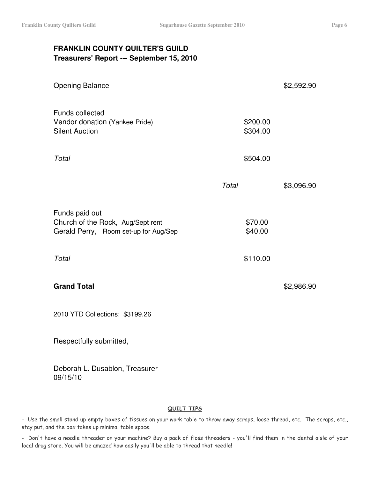# **FRANKLIN COUNTY QUILTER'S GUILD Treasurers' Report --- September 15, 2010**

| <b>Opening Balance</b>                                                                       |                      | \$2,592.90 |
|----------------------------------------------------------------------------------------------|----------------------|------------|
| <b>Funds collected</b><br>Vendor donation (Yankee Pride)<br><b>Silent Auction</b>            | \$200.00<br>\$304.00 |            |
| Total                                                                                        | \$504.00             |            |
|                                                                                              | Total                | \$3,096.90 |
| Funds paid out<br>Church of the Rock, Aug/Sept rent<br>Gerald Perry, Room set-up for Aug/Sep | \$70.00<br>\$40.00   |            |
| Total                                                                                        | \$110.00             |            |
| <b>Grand Total</b>                                                                           |                      | \$2,986.90 |
| 2010 YTD Collections: \$3199.26                                                              |                      |            |
| Respectfully submitted,                                                                      |                      |            |

Deborah L. Dusablon, Treasurer 09/15/10

#### <u>QUILT TIPS</u>

- Use the small stand up empty boxes of tissues on your work table to throw away scraps, loose thread, etc. The scraps, etc., stay put, and the box takes up minimal table space.

- Don't have a needle threader on your machine? Buy a pack of floss threaders - you'll find them in the dental aisle of your local drug store. You will be amazed how easily you'll be able to thread that needle!